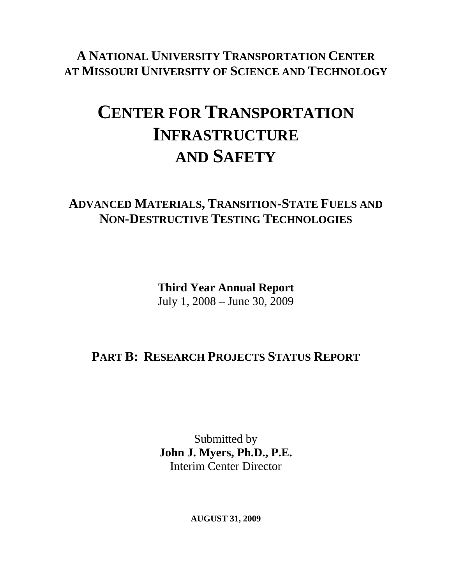**A NATIONAL UNIVERSITY TRANSPORTATION CENTER AT MISSOURI UNIVERSITY OF SCIENCE AND TECHNOLOGY**

# **CENTER FOR TRANSPORTATION INFRASTRUCTURE AND SAFETY**

### **ADVANCED MATERIALS, TRANSITION-STATE FUELS AND NON-DESTRUCTIVE TESTING TECHNOLOGIES**

**Third Year Annual Report**  July 1, 2008 – June 30, 2009

## **PART B: RESEARCH PROJECTS STATUS REPORT**

Submitted by **John J. Myers, Ph.D., P.E.**  Interim Center Director

**AUGUST 31, 2009**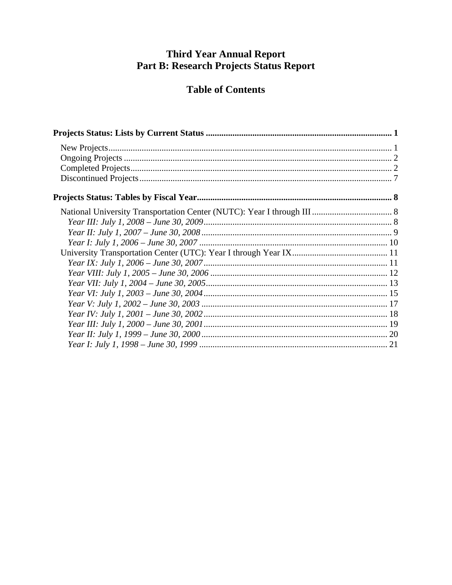# Third Year Annual Report<br>Part B: Research Projects Status Report

### **Table of Contents**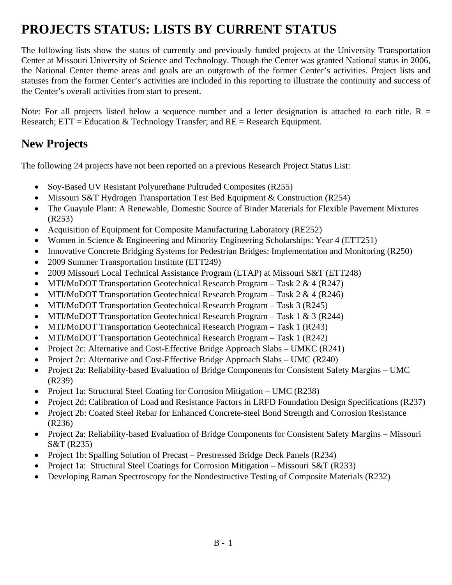# **PROJECTS STATUS: LISTS BY CURRENT STATUS**

The following lists show the status of currently and previously funded projects at the University Transportation Center at Missouri University of Science and Technology. Though the Center was granted National status in 2006, the National Center theme areas and goals are an outgrowth of the former Center's activities. Project lists and statuses from the former Center's activities are included in this reporting to illustrate the continuity and success of the Center's overall activities from start to present.

Note: For all projects listed below a sequence number and a letter designation is attached to each title.  $R =$ Research;  $ETT = Education & Technology Transfer;$  and  $RE = Research$  Equipment.

### **New Projects**

The following 24 projects have not been reported on a previous Research Project Status List:

- Soy-Based UV Resistant Polyurethane Pultruded Composites (R255)
- Missouri S&T Hydrogen Transportation Test Bed Equipment & Construction (R254)
- The Guayule Plant: A Renewable, Domestic Source of Binder Materials for Flexible Pavement Mixtures (R253)
- Acquisition of Equipment for Composite Manufacturing Laboratory (RE252)
- Women in Science & Engineering and Minority Engineering Scholarships: Year 4 (ETT251)
- Innovative Concrete Bridging Systems for Pedestrian Bridges: Implementation and Monitoring (R250)
- 2009 Summer Transportation Institute (ETT249)
- 2009 Missouri Local Technical Assistance Program (LTAP) at Missouri S&T (ETT248)
- MTI/MoDOT Transportation Geotechnical Research Program Task 2  $\&$  4 (R247)
- MTI/MoDOT Transportation Geotechnical Research Program Task  $2 \& 4 (R246)$
- MTI/MoDOT Transportation Geotechnical Research Program Task 3 (R245)
- MTI/MoDOT Transportation Geotechnical Research Program Task 1 & 3 (R244)
- MTI/MoDOT Transportation Geotechnical Research Program Task 1 (R243)
- MTI/MoDOT Transportation Geotechnical Research Program Task 1 (R242)
- Project 2c: Alternative and Cost-Effective Bridge Approach Slabs UMKC (R241)
- Project 2c: Alternative and Cost-Effective Bridge Approach Slabs UMC (R240)
- Project 2a: Reliability-based Evaluation of Bridge Components for Consistent Safety Margins UMC (R239)
- Project 1a: Structural Steel Coating for Corrosion Mitigation UMC (R238)
- Project 2d: Calibration of Load and Resistance Factors in LRFD Foundation Design Specifications (R237)
- Project 2b: Coated Steel Rebar for Enhanced Concrete-steel Bond Strength and Corrosion Resistance (R236)
- Project 2a: Reliability-based Evaluation of Bridge Components for Consistent Safety Margins Missouri S&T (R235)
- Project 1b: Spalling Solution of Precast Prestressed Bridge Deck Panels (R234)
- Project 1a: Structural Steel Coatings for Corrosion Mitigation Missouri S&T (R233)
- Developing Raman Spectroscopy for the Nondestructive Testing of Composite Materials (R232)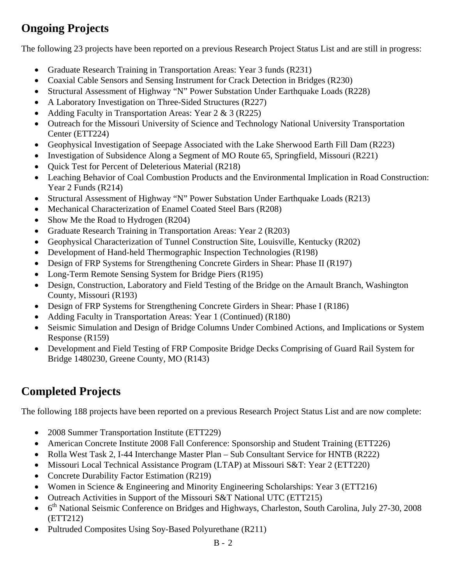### **Ongoing Projects**

The following 23 projects have been reported on a previous Research Project Status List and are still in progress:

- Graduate Research Training in Transportation Areas: Year 3 funds (R231)
- Coaxial Cable Sensors and Sensing Instrument for Crack Detection in Bridges (R230)
- Structural Assessment of Highway "N" Power Substation Under Earthquake Loads (R228)
- A Laboratory Investigation on Three-Sided Structures (R227)
- Adding Faculty in Transportation Areas: Year 2 & 3 (R225)
- Outreach for the Missouri University of Science and Technology National University Transportation Center (ETT224)
- Geophysical Investigation of Seepage Associated with the Lake Sherwood Earth Fill Dam (R223)
- Investigation of Subsidence Along a Segment of MO Route 65, Springfield, Missouri (R221)
- Quick Test for Percent of Deleterious Material (R218)
- Leaching Behavior of Coal Combustion Products and the Environmental Implication in Road Construction: Year 2 Funds (R214)
- Structural Assessment of Highway "N" Power Substation Under Earthquake Loads (R213)
- Mechanical Characterization of Enamel Coated Steel Bars (R208)
- Show Me the Road to Hydrogen (R204)
- Graduate Research Training in Transportation Areas: Year 2 (R203)
- Geophysical Characterization of Tunnel Construction Site, Louisville, Kentucky (R202)
- Development of Hand-held Thermographic Inspection Technologies (R198)
- Design of FRP Systems for Strengthening Concrete Girders in Shear: Phase II (R197)
- Long-Term Remote Sensing System for Bridge Piers (R195)
- Design, Construction, Laboratory and Field Testing of the Bridge on the Arnault Branch, Washington County, Missouri (R193)
- Design of FRP Systems for Strengthening Concrete Girders in Shear: Phase I (R186)
- Adding Faculty in Transportation Areas: Year 1 (Continued) (R180)
- Seismic Simulation and Design of Bridge Columns Under Combined Actions, and Implications or System Response (R159)
- Development and Field Testing of FRP Composite Bridge Decks Comprising of Guard Rail System for Bridge 1480230, Greene County, MO (R143)

## **Completed Projects**

The following 188 projects have been reported on a previous Research Project Status List and are now complete:

- 2008 Summer Transportation Institute (ETT229)
- American Concrete Institute 2008 Fall Conference: Sponsorship and Student Training (ETT226)
- Rolla West Task 2, I-44 Interchange Master Plan Sub Consultant Service for HNTB (R222)
- Missouri Local Technical Assistance Program (LTAP) at Missouri S&T: Year 2 (ETT220)
- Concrete Durability Factor Estimation (R219)
- Women in Science & Engineering and Minority Engineering Scholarships: Year 3 (ETT216)
- Outreach Activities in Support of the Missouri S&T National UTC (ETT215)
- 6<sup>th</sup> National Seismic Conference on Bridges and Highways, Charleston, South Carolina, July 27-30, 2008 (ETT212)
- Pultruded Composites Using Soy-Based Polyurethane (R211)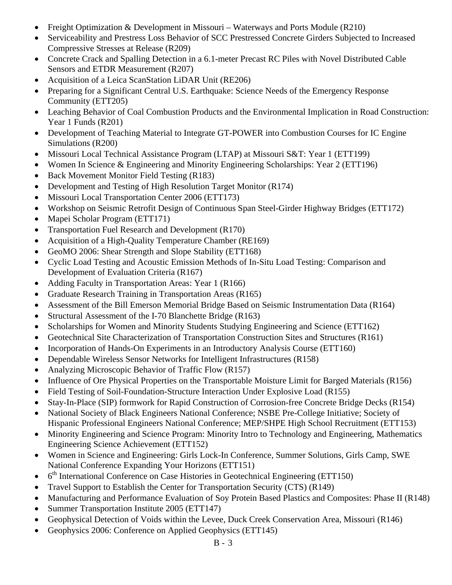- Freight Optimization & Development in Missouri Waterways and Ports Module (R210)
- Serviceability and Prestress Loss Behavior of SCC Prestressed Concrete Girders Subjected to Increased Compressive Stresses at Release (R209)
- Concrete Crack and Spalling Detection in a 6.1-meter Precast RC Piles with Novel Distributed Cable Sensors and ETDR Measurement (R207)
- Acquisition of a Leica ScanStation LiDAR Unit (RE206)
- Preparing for a Significant Central U.S. Earthquake: Science Needs of the Emergency Response Community (ETT205)
- Leaching Behavior of Coal Combustion Products and the Environmental Implication in Road Construction: Year 1 Funds (R201)
- Development of Teaching Material to Integrate GT-POWER into Combustion Courses for IC Engine Simulations (R200)
- Missouri Local Technical Assistance Program (LTAP) at Missouri S&T: Year 1 (ETT199)
- Women In Science & Engineering and Minority Engineering Scholarships: Year 2 (ETT196)
- Back Movement Monitor Field Testing (R183)
- Development and Testing of High Resolution Target Monitor (R174)
- Missouri Local Transportation Center 2006 (ETT173)
- Workshop on Seismic Retrofit Design of Continuous Span Steel-Girder Highway Bridges (ETT172)
- Mapei Scholar Program (ETT171)
- Transportation Fuel Research and Development (R170)
- Acquisition of a High-Quality Temperature Chamber (RE169)
- GeoMO 2006: Shear Strength and Slope Stability (ETT168)
- Cyclic Load Testing and Acoustic Emission Methods of In-Situ Load Testing: Comparison and Development of Evaluation Criteria (R167)
- Adding Faculty in Transportation Areas: Year 1 (R166)
- Graduate Research Training in Transportation Areas (R165)
- Assessment of the Bill Emerson Memorial Bridge Based on Seismic Instrumentation Data (R164)
- Structural Assessment of the I-70 Blanchette Bridge (R163)
- Scholarships for Women and Minority Students Studying Engineering and Science (ETT162)
- Geotechnical Site Characterization of Transportation Construction Sites and Structures (R161)
- Incorporation of Hands-On Experiments in an Introductory Analysis Course (ETT160)
- Dependable Wireless Sensor Networks for Intelligent Infrastructures (R158)
- Analyzing Microscopic Behavior of Traffic Flow (R157)
- Influence of Ore Physical Properties on the Transportable Moisture Limit for Barged Materials (R156)
- Field Testing of Soil-Foundation-Structure Interaction Under Explosive Load (R155)
- Stay-In-Place (SIP) formwork for Rapid Construction of Corrosion-free Concrete Bridge Decks (R154)
- National Society of Black Engineers National Conference; NSBE Pre-College Initiative; Society of Hispanic Professional Engineers National Conference; MEP/SHPE High School Recruitment (ETT153)
- Minority Engineering and Science Program: Minority Intro to Technology and Engineering, Mathematics Engineering Science Achievement (ETT152)
- Women in Science and Engineering: Girls Lock-In Conference, Summer Solutions, Girls Camp, SWE National Conference Expanding Your Horizons (ETT151)
- $\bullet$  6<sup>th</sup> International Conference on Case Histories in Geotechnical Engineering (ETT150)
- Travel Support to Establish the Center for Transportation Security (CTS) (R149)
- Manufacturing and Performance Evaluation of Soy Protein Based Plastics and Composites: Phase II (R148)
- Summer Transportation Institute 2005 (ETT147)
- Geophysical Detection of Voids within the Levee, Duck Creek Conservation Area, Missouri (R146)
- Geophysics 2006: Conference on Applied Geophysics (ETT145)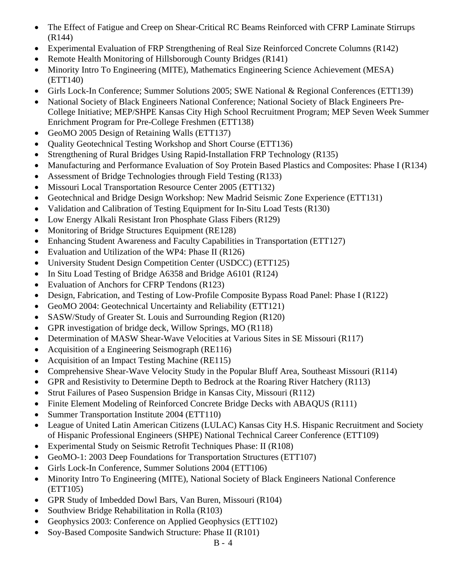- The Effect of Fatigue and Creep on Shear-Critical RC Beams Reinforced with CFRP Laminate Stirrups (R144)
- Experimental Evaluation of FRP Strengthening of Real Size Reinforced Concrete Columns (R142)
- Remote Health Monitoring of Hillsborough County Bridges (R141)
- Minority Intro To Engineering (MITE), Mathematics Engineering Science Achievement (MESA) (ETT140)
- Girls Lock-In Conference; Summer Solutions 2005; SWE National & Regional Conferences (ETT139)
- National Society of Black Engineers National Conference; National Society of Black Engineers Pre-College Initiative; MEP/SHPE Kansas City High School Recruitment Program; MEP Seven Week Summer Enrichment Program for Pre-College Freshmen (ETT138)
- GeoMO 2005 Design of Retaining Walls (ETT137)
- Quality Geotechnical Testing Workshop and Short Course (ETT136)
- Strengthening of Rural Bridges Using Rapid-Installation FRP Technology (R135)
- Manufacturing and Performance Evaluation of Soy Protein Based Plastics and Composites: Phase I (R134)
- Assessment of Bridge Technologies through Field Testing (R133)
- Missouri Local Transportation Resource Center 2005 (ETT132)
- Geotechnical and Bridge Design Workshop: New Madrid Seismic Zone Experience (ETT131)
- Validation and Calibration of Testing Equipment for In-Situ Load Tests (R130)
- Low Energy Alkali Resistant Iron Phosphate Glass Fibers (R129)
- Monitoring of Bridge Structures Equipment (RE128)
- Enhancing Student Awareness and Faculty Capabilities in Transportation (ETT127)
- Evaluation and Utilization of the WP4: Phase II (R126)
- University Student Design Competition Center (USDCC) (ETT125)
- In Situ Load Testing of Bridge A6358 and Bridge A6101 (R124)
- Evaluation of Anchors for CFRP Tendons (R123)
- Design, Fabrication, and Testing of Low-Profile Composite Bypass Road Panel: Phase I (R122)
- GeoMO 2004: Geotechnical Uncertainty and Reliability (ETT121)
- SASW/Study of Greater St. Louis and Surrounding Region (R120)
- GPR investigation of bridge deck, Willow Springs, MO (R118)
- Determination of MASW Shear-Wave Velocities at Various Sites in SE Missouri (R117)
- Acquisition of a Engineering Seismograph (RE116)
- Acquisition of an Impact Testing Machine (RE115)
- Comprehensive Shear-Wave Velocity Study in the Popular Bluff Area, Southeast Missouri (R114)
- GPR and Resistivity to Determine Depth to Bedrock at the Roaring River Hatchery (R113)
- Strut Failures of Paseo Suspension Bridge in Kansas City, Missouri (R112)
- Finite Element Modeling of Reinforced Concrete Bridge Decks with ABAOUS (R111)
- Summer Transportation Institute 2004 (ETT110)
- League of United Latin American Citizens (LULAC) Kansas City H.S. Hispanic Recruitment and Society of Hispanic Professional Engineers (SHPE) National Technical Career Conference (ETT109)
- Experimental Study on Seismic Retrofit Techniques Phase: II (R108)
- GeoMO-1: 2003 Deep Foundations for Transportation Structures (ETT107)
- Girls Lock-In Conference, Summer Solutions 2004 (ETT106)
- Minority Intro To Engineering (MITE), National Society of Black Engineers National Conference (ETT105)
- GPR Study of Imbedded Dowl Bars, Van Buren, Missouri (R104)
- Southview Bridge Rehabilitation in Rolla (R103)
- Geophysics 2003: Conference on Applied Geophysics (ETT102)
- Soy-Based Composite Sandwich Structure: Phase II (R101)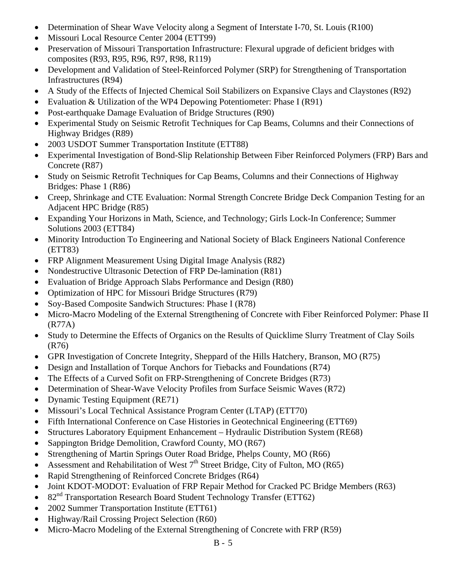- Determination of Shear Wave Velocity along a Segment of Interstate I-70, St. Louis (R100)
- Missouri Local Resource Center 2004 (ETT99)
- Preservation of Missouri Transportation Infrastructure: Flexural upgrade of deficient bridges with composites (R93, R95, R96, R97, R98, R119)
- Development and Validation of Steel-Reinforced Polymer (SRP) for Strengthening of Transportation Infrastructures (R94)
- A Study of the Effects of Injected Chemical Soil Stabilizers on Expansive Clays and Claystones (R92)
- Evaluation & Utilization of the WP4 Depowing Potentiometer: Phase I (R91)
- Post-earthquake Damage Evaluation of Bridge Structures (R90)
- Experimental Study on Seismic Retrofit Techniques for Cap Beams, Columns and their Connections of Highway Bridges (R89)
- 2003 USDOT Summer Transportation Institute (ETT88)
- Experimental Investigation of Bond-Slip Relationship Between Fiber Reinforced Polymers (FRP) Bars and Concrete (R87)
- Study on Seismic Retrofit Techniques for Cap Beams, Columns and their Connections of Highway Bridges: Phase 1 (R86)
- Creep, Shrinkage and CTE Evaluation: Normal Strength Concrete Bridge Deck Companion Testing for an Adjacent HPC Bridge (R85)
- Expanding Your Horizons in Math, Science, and Technology; Girls Lock-In Conference; Summer Solutions 2003 (ETT84)
- Minority Introduction To Engineering and National Society of Black Engineers National Conference (ETT83)
- FRP Alignment Measurement Using Digital Image Analysis (R82)
- Nondestructive Ultrasonic Detection of FRP De-lamination (R81)
- Evaluation of Bridge Approach Slabs Performance and Design (R80)
- Optimization of HPC for Missouri Bridge Structures (R79)
- Soy-Based Composite Sandwich Structures: Phase I (R78)
- Micro-Macro Modeling of the External Strengthening of Concrete with Fiber Reinforced Polymer: Phase II (R77A)
- Study to Determine the Effects of Organics on the Results of Quicklime Slurry Treatment of Clay Soils (R76)
- GPR Investigation of Concrete Integrity, Sheppard of the Hills Hatchery, Branson, MO (R75)
- Design and Installation of Torque Anchors for Tiebacks and Foundations (R74)
- The Effects of a Curved Sofit on FRP-Strengthening of Concrete Bridges (R73)
- Determination of Shear-Wave Velocity Profiles from Surface Seismic Waves (R72)
- Dynamic Testing Equipment (RE71)
- Missouri's Local Technical Assistance Program Center (LTAP) (ETT70)
- Fifth International Conference on Case Histories in Geotechnical Engineering (ETT69)
- Structures Laboratory Equipment Enhancement Hydraulic Distribution System (RE68)
- Sappington Bridge Demolition, Crawford County, MO (R67)
- Strengthening of Martin Springs Outer Road Bridge, Phelps County, MO (R66)
- Assessment and Rehabilitation of West  $7<sup>th</sup>$  Street Bridge, City of Fulton, MO (R65)
- Rapid Strengthening of Reinforced Concrete Bridges (R64)
- Joint KDOT-MODOT: Evaluation of FRP Repair Method for Cracked PC Bridge Members (R63)
- 82<sup>nd</sup> Transportation Research Board Student Technology Transfer (ETT62)
- 2002 Summer Transportation Institute (ETT61)
- Highway/Rail Crossing Project Selection (R60)
- Micro-Macro Modeling of the External Strengthening of Concrete with FRP (R59)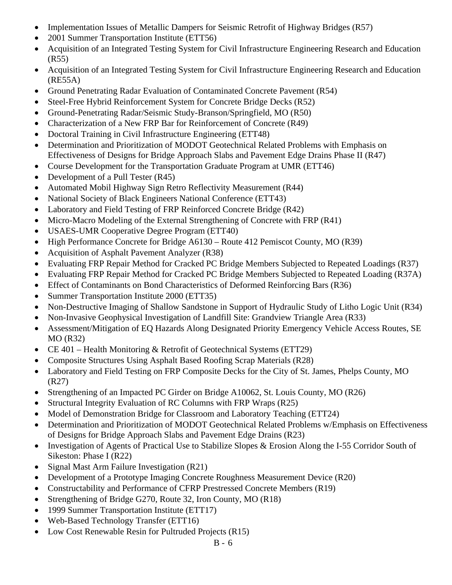- Implementation Issues of Metallic Dampers for Seismic Retrofit of Highway Bridges (R57)
- 2001 Summer Transportation Institute (ETT56)
- Acquisition of an Integrated Testing System for Civil Infrastructure Engineering Research and Education (R55)
- Acquisition of an Integrated Testing System for Civil Infrastructure Engineering Research and Education (RE55A)
- Ground Penetrating Radar Evaluation of Contaminated Concrete Pavement (R54)
- Steel-Free Hybrid Reinforcement System for Concrete Bridge Decks (R52)
- Ground-Penetrating Radar/Seismic Study-Branson/Springfield, MO (R50)
- Characterization of a New FRP Bar for Reinforcement of Concrete (R49)
- Doctoral Training in Civil Infrastructure Engineering (ETT48)
- Determination and Prioritization of MODOT Geotechnical Related Problems with Emphasis on Effectiveness of Designs for Bridge Approach Slabs and Pavement Edge Drains Phase II (R47)
- Course Development for the Transportation Graduate Program at UMR (ETT46)
- Development of a Pull Tester (R45)
- Automated Mobil Highway Sign Retro Reflectivity Measurement (R44)
- National Society of Black Engineers National Conference (ETT43)
- Laboratory and Field Testing of FRP Reinforced Concrete Bridge (R42)
- Micro-Macro Modeling of the External Strengthening of Concrete with FRP (R41)
- USAES-UMR Cooperative Degree Program (ETT40)
- High Performance Concrete for Bridge A6130 Route 412 Pemiscot County, MO (R39)
- Acquisition of Asphalt Pavement Analyzer (R38)
- Evaluating FRP Repair Method for Cracked PC Bridge Members Subjected to Repeated Loadings (R37)
- Evaluating FRP Repair Method for Cracked PC Bridge Members Subjected to Repeated Loading (R37A)
- Effect of Contaminants on Bond Characteristics of Deformed Reinforcing Bars (R36)
- Summer Transportation Institute 2000 (ETT35)
- Non-Destructive Imaging of Shallow Sandstone in Support of Hydraulic Study of Litho Logic Unit (R34)
- Non-Invasive Geophysical Investigation of Landfill Site: Grandview Triangle Area (R33)
- Assessment/Mitigation of EQ Hazards Along Designated Priority Emergency Vehicle Access Routes, SE MO (R32)
- CE 401 Health Monitoring & Retrofit of Geotechnical Systems (ETT29)
- Composite Structures Using Asphalt Based Roofing Scrap Materials (R28)
- Laboratory and Field Testing on FRP Composite Decks for the City of St. James, Phelps County, MO (R27)
- Strengthening of an Impacted PC Girder on Bridge A10062, St. Louis County, MO (R26)
- Structural Integrity Evaluation of RC Columns with FRP Wraps (R25)
- Model of Demonstration Bridge for Classroom and Laboratory Teaching (ETT24)
- Determination and Prioritization of MODOT Geotechnical Related Problems w/Emphasis on Effectiveness of Designs for Bridge Approach Slabs and Pavement Edge Drains (R23)
- Investigation of Agents of Practical Use to Stabilize Slopes & Erosion Along the I-55 Corridor South of Sikeston: Phase I (R22)
- Signal Mast Arm Failure Investigation (R21)
- Development of a Prototype Imaging Concrete Roughness Measurement Device (R20)
- Constructability and Performance of CFRP Prestressed Concrete Members (R19)
- Strengthening of Bridge G270, Route 32, Iron County, MO (R18)
- 1999 Summer Transportation Institute (ETT17)
- Web-Based Technology Transfer (ETT16)
- Low Cost Renewable Resin for Pultruded Projects (R15)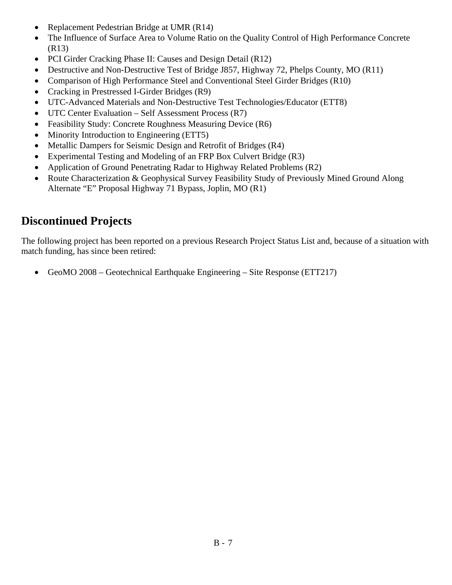- Replacement Pedestrian Bridge at UMR (R14)
- The Influence of Surface Area to Volume Ratio on the Quality Control of High Performance Concrete (R13)
- PCI Girder Cracking Phase II: Causes and Design Detail (R12)
- Destructive and Non-Destructive Test of Bridge J857, Highway 72, Phelps County, MO (R11)
- Comparison of High Performance Steel and Conventional Steel Girder Bridges (R10)
- Cracking in Prestressed I-Girder Bridges (R9)
- UTC-Advanced Materials and Non-Destructive Test Technologies/Educator (ETT8)
- UTC Center Evaluation Self Assessment Process (R7)
- Feasibility Study: Concrete Roughness Measuring Device (R6)
- Minority Introduction to Engineering (ETT5)
- Metallic Dampers for Seismic Design and Retrofit of Bridges (R4)
- Experimental Testing and Modeling of an FRP Box Culvert Bridge (R3)
- Application of Ground Penetrating Radar to Highway Related Problems (R2)
- Route Characterization & Geophysical Survey Feasibility Study of Previously Mined Ground Along Alternate "E" Proposal Highway 71 Bypass, Joplin, MO (R1)

### **Discontinued Projects**

The following project has been reported on a previous Research Project Status List and, because of a situation with match funding, has since been retired:

• GeoMO 2008 – Geotechnical Earthquake Engineering – Site Response (ETT217)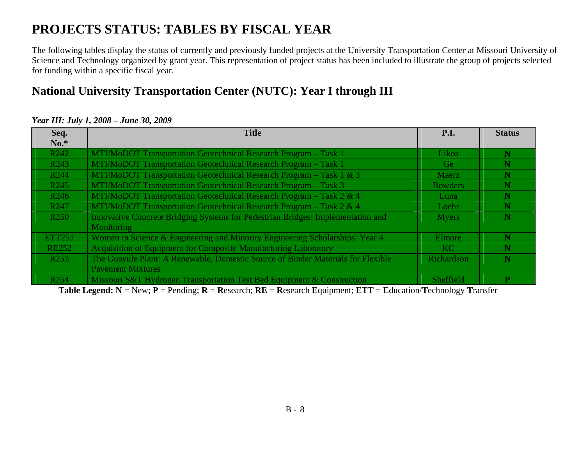# **PROJECTS STATUS: TABLES BY FISCAL YEAR**

The following tables display the status of currently and previously funded projects at the University Transportation Center at Missouri University of Science and Technology organized by grant year. This representation of project status has been included to illustrate the group of projects selected for funding within a specific fiscal year.

### **National University Transportation Center (NUTC): Year I through III**

| Seq.             | <b>Title</b>                                                                     | <b>P.I.</b>    | <b>Status</b> |
|------------------|----------------------------------------------------------------------------------|----------------|---------------|
| $No.*$           |                                                                                  |                |               |
| R <sub>242</sub> | MTI/MoDOT Transportation Geotechnical Research Program - Task 1                  | Likos          | N             |
| R <sub>243</sub> | MTI/MoDOT Transportation Geotechnical Research Program - Task 1                  | Ge             | N             |
| R <sub>244</sub> | MTI/MoDOT Transportation Geotechnical Research Program - Task $1 \& 3$           | Maerz          | N             |
| R <sub>245</sub> | MTI/MoDOT Transportation Geotechnical Research Program – Task 3                  | <b>Bowders</b> |               |
| R <sub>246</sub> | MTI/MoDOT Transportation Geotechnical Research Program - Task 2 & 4              | Luna           |               |
| R <sub>247</sub> | MTI/MoDOT Transportation Geotechnical Research Program - Task 2 & 4              | Loehr          |               |
| R <sub>250</sub> | Innovative Concrete Bridging Systems for Pedestrian Bridges: Implementation and  | <b>Myers</b>   | N             |
|                  | <b>Monitoring</b>                                                                |                |               |
| <b>ETT251</b>    | Women in Science & Engineering and Minority Engineering Scholarships: Year 4     | Elmore         | N             |
| <b>RE252</b>     | Acquisition of Equipment for Composite Manufacturing Laboratory                  | KC.            |               |
| R <sub>253</sub> | The Guayule Plant: A Renewable, Domestic Source of Binder Materials for Flexible | Richardson     |               |
|                  | <b>Payement Mixtures</b>                                                         |                |               |
| R <sub>254</sub> | Missouri S&T Hydrogen Transportation Test Bed Equipment & Construction           | Sheffield      | $\mathbf{P}$  |

#### *Year III: July 1, 2008 – June 30, 2009*

**Table Legend: N** = New; **P** = Pending; **R** <sup>=</sup>**R**esearch; **RE** = **R**esearch **E**quipment; **ETT** <sup>=</sup>**E**ducation/**T**echnology **T**ransfer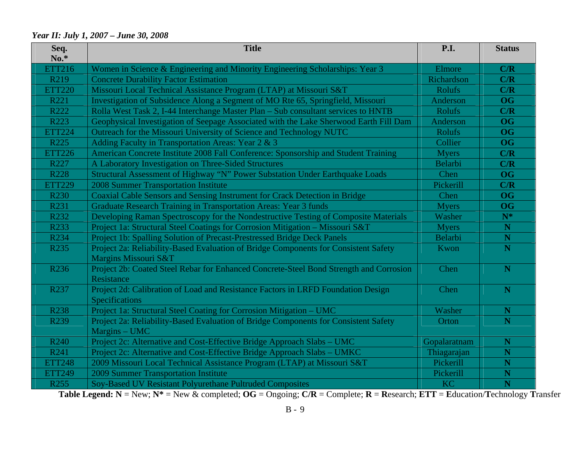#### *Year II: July 1, 2007 – June 30, 2008*

| Seq.<br>$No.*$    | <b>Title</b>                                                                                                | <b>P.I.</b>    | <b>Status</b>           |
|-------------------|-------------------------------------------------------------------------------------------------------------|----------------|-------------------------|
| ETT216            | Women in Science & Engineering and Minority Engineering Scholarships: Year 3                                | Elmore         | C/R                     |
| R <sub>2</sub> 19 | <b>Concrete Durability Factor Estimation</b>                                                                | Richardson     | C/R                     |
| <b>ETT220</b>     | Missouri Local Technical Assistance Program (LTAP) at Missouri S&T                                          | Rolufs         | C/R                     |
| R221              | Investigation of Subsidence Along a Segment of MO Rte 65, Springfield, Missouri                             | Anderson       | <b>OG</b>               |
| R222              | Rolla West Task 2, I-44 Interchange Master Plan – Sub consultant services to HNTB                           | Rolufs         | C/R                     |
| R223              | Geophysical Investigation of Seepage Associated with the Lake Sherwood Earth Fill Dam                       | Anderson       | <b>OG</b>               |
| <b>ETT224</b>     | Outreach for the Missouri University of Science and Technology NUTC                                         | Rolufs         | <b>OG</b>               |
| R <sub>225</sub>  | Adding Faculty in Transportation Areas: Year 2 & 3                                                          | Collier        | <b>OG</b>               |
| <b>ETT226</b>     | American Concrete Institute 2008 Fall Conference: Sponsorship and Student Training                          | <b>Myers</b>   | C/R                     |
| R227              | A Laboratory Investigation on Three-Sided Structures                                                        | <b>Belarbi</b> | C/R                     |
| R <sub>228</sub>  | Structural Assessment of Highway "N" Power Substation Under Earthquake Loads                                | Chen           | <b>OG</b>               |
| <b>ETT229</b>     | <b>2008 Summer Transportation Institute</b>                                                                 | Pickerill      | C/R                     |
| R <sub>230</sub>  | Coaxial Cable Sensors and Sensing Instrument for Crack Detection in Bridge                                  | Chen           | <b>OG</b>               |
| R231              | Graduate Research Training in Transportation Areas: Year 3 funds                                            | <b>Myers</b>   | <b>OG</b>               |
| R232              | Developing Raman Spectroscopy for the Nondestructive Testing of Composite Materials                         | Washer         | $\mathbf{N}^*$          |
| R233              | Project 1a: Structural Steel Coatings for Corrosion Mitigation – Missouri S&T                               | <b>Myers</b>   | ${\bf N}$               |
| R234              | Project 1b: Spalling Solution of Precast-Prestressed Bridge Deck Panels                                     | <b>Belarbi</b> | ${\bf N}$               |
| R <sub>235</sub>  | Project 2a: Reliability-Based Evaluation of Bridge Components for Consistent Safety<br>Margins Missouri S&T | Kwon           | $\overline{\mathbf{N}}$ |
| R236              | Project 2b: Coated Steel Rebar for Enhanced Concrete-Steel Bond Strength and Corrosion<br>Resistance        | Chen           | N                       |
| R237              | Project 2d: Calibration of Load and Resistance Factors in LRFD Foundation Design<br>Specifications          | Chen           | $\mathbf N$             |
| <b>R238</b>       | Project 1a: Structural Steel Coating for Corrosion Mitigation - UMC                                         | Washer         | N                       |
| R239              | Project 2a: Reliability-Based Evaluation of Bridge Components for Consistent Safety<br>Margins - UMC        | Orton          | N                       |
| R <sub>240</sub>  | Project 2c: Alternative and Cost-Effective Bridge Approach Slabs – UMC                                      | Gopalaratnam   | N                       |
| R241              | Project 2c: Alternative and Cost-Effective Bridge Approach Slabs - UMKC                                     | Thiagarajan    | N                       |
| <b>ETT248</b>     | 2009 Missouri Local Technical Assistance Program (LTAP) at Missouri S&T                                     | Pickerill      | ${\bf N}$               |
| <b>ETT249</b>     | 2009 Summer Transportation Institute                                                                        | Pickerill      | ${\bf N}$               |
| R <sub>255</sub>  | Soy-Based UV Resistant Polyurethane Pultruded Composites                                                    | <b>KC</b>      | $\overline{\mathbf{N}}$ |

**Table Legend: N** = New; **N\*** = New & completed; **OG** = Ongoing; **C/R** = Complete; **R** <sup>=</sup>**R**esearch; **ETT** <sup>=</sup>**E**ducation/**T**echnology **T**ransfer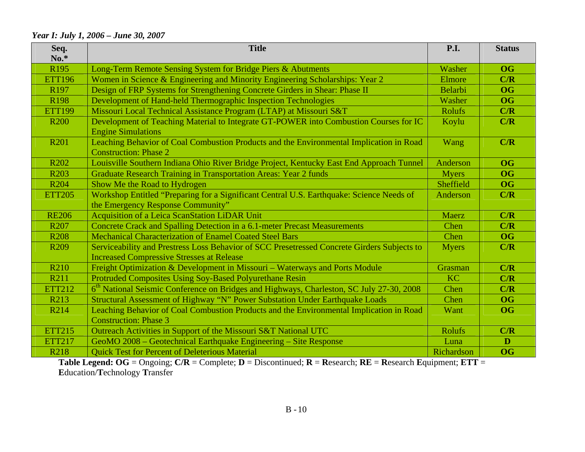#### *Year I: July 1, 2006 – June 30, 2007*

| Seq.<br>$No.*$   | <b>Title</b>                                                                                                                                    | <b>P.I.</b>   | <b>Status</b> |
|------------------|-------------------------------------------------------------------------------------------------------------------------------------------------|---------------|---------------|
| R <sub>195</sub> | Long-Term Remote Sensing System for Bridge Piers & Abutments                                                                                    | Washer        | <b>OG</b>     |
| <b>ETT196</b>    | Women in Science & Engineering and Minority Engineering Scholarships: Year 2                                                                    | Elmore        | C/R           |
| R <sub>197</sub> | Design of FRP Systems for Strengthening Concrete Girders in Shear: Phase II                                                                     | Belarbi       | <b>OG</b>     |
| R <sub>198</sub> | Development of Hand-held Thermographic Inspection Technologies                                                                                  | Washer        | <b>OG</b>     |
| <b>ETT199</b>    | Missouri Local Technical Assistance Program (LTAP) at Missouri S&T                                                                              | <b>Rolufs</b> | C/R           |
| <b>R200</b>      | Development of Teaching Material to Integrate GT-POWER into Combustion Courses for IC<br><b>Engine Simulations</b>                              | Koylu         | C/R           |
| R <sub>201</sub> | Leaching Behavior of Coal Combustion Products and the Environmental Implication in Road<br><b>Construction: Phase 2</b>                         | Wang          | C/R           |
| R <sub>202</sub> | Louisville Southern Indiana Ohio River Bridge Project, Kentucky East End Approach Tunnel                                                        | Anderson      | <b>OG</b>     |
| R <sub>203</sub> | Graduate Research Training in Transportation Areas: Year 2 funds                                                                                | <b>Myers</b>  | <b>OG</b>     |
| R <sub>204</sub> | Show Me the Road to Hydrogen                                                                                                                    | Sheffield     | <b>OG</b>     |
| <b>ETT205</b>    | Workshop Entitled "Preparing for a Significant Central U.S. Earthquake: Science Needs of<br>the Emergency Response Community"                   | Anderson      | C/R           |
| <b>RE206</b>     | Acquisition of a Leica ScanStation LiDAR Unit                                                                                                   | <b>Maerz</b>  | C/R           |
| R <sub>207</sub> | Concrete Crack and Spalling Detection in a 6.1-meter Precast Measurements                                                                       | Chen          | C/R           |
| <b>R208</b>      | <b>Mechanical Characterization of Enamel Coated Steel Bars</b>                                                                                  | Chen          | <b>OG</b>     |
| R <sub>209</sub> | Serviceability and Prestress Loss Behavior of SCC Presetressed Concrete Girders Subjects to<br><b>Increased Compressive Stresses at Release</b> | <b>Myers</b>  | C/R           |
| R <sub>210</sub> | Freight Optimization & Development in Missouri - Waterways and Ports Module                                                                     | Grasman       | C/R           |
| R211             | Protruded Composites Using Soy-Based Polyurethane Resin                                                                                         | <b>KC</b>     | C/R           |
| <b>ETT212</b>    | 6 <sup>th</sup> National Seismic Conference on Bridges and Highways, Charleston, SC July 27-30, 2008                                            | Chen          | C/R           |
| R213             | Structural Assessment of Highway "N" Power Substation Under Earthquake Loads                                                                    | Chen          | <b>OG</b>     |
| R214             | Leaching Behavior of Coal Combustion Products and the Environmental Implication in Road                                                         | Want          | <b>OG</b>     |
|                  | <b>Construction: Phase 3</b>                                                                                                                    |               |               |
| <b>ETT215</b>    | Outreach Activities in Support of the Missouri S&T National UTC                                                                                 | <b>Rolufs</b> | C/R           |
| <b>ETT217</b>    | GeoMO 2008 - Geotechnical Earthquake Engineering - Site Response                                                                                | Luna          | D             |
| R218             | <b>Quick Test for Percent of Deleterious Material</b>                                                                                           | Richardson    | <b>OG</b>     |

**Table Legend: OG** = Ongoing; **C/R** = Complete; **D** = Discontinued; **R** <sup>=</sup>**R**esearch; **RE** = **R**esearch **E**quipment; **ETT** <sup>=</sup> **E**ducation/**T**echnology **T**ransfer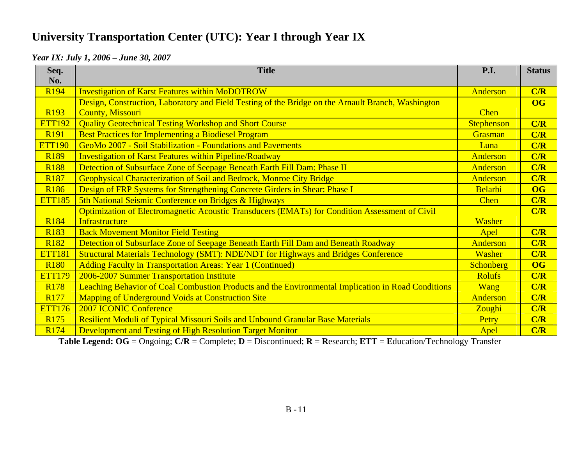# **University Transportation Center (UTC): Year I through Year IX**

#### *Year IX: July 1, 2006 – June 30, 2007*

| Seq.<br>No.      | <b>Title</b>                                                                                       | <b>P.I.</b>       | <b>Status</b> |
|------------------|----------------------------------------------------------------------------------------------------|-------------------|---------------|
| R <sub>194</sub> | <b>Investigation of Karst Features within MoDOTROW</b>                                             | Anderson          | C/R           |
|                  | Design, Construction, Laboratory and Field Testing of the Bridge on the Arnault Branch, Washington |                   | <b>OG</b>     |
| R <sub>193</sub> | <b>County, Missouri</b>                                                                            | <b>Chen</b>       |               |
| <b>ETT192</b>    | <b>Quality Geotechnical Testing Workshop and Short Course</b>                                      | <b>Stephenson</b> | C/R           |
| R <sub>191</sub> | <b>Best Practices for Implementing a Biodiesel Program</b>                                         | Grasman           | C/R           |
| <b>ETT190</b>    | GeoMo 2007 - Soil Stabilization - Foundations and Pavements                                        | Luna              | C/R           |
| <b>R189</b>      | <b>Investigation of Karst Features within Pipeline/Roadway</b>                                     | Anderson          | C/R           |
| <b>R188</b>      | Detection of Subsurface Zone of Seepage Beneath Earth Fill Dam: Phase II                           | Anderson          | C/R           |
| R <sub>187</sub> | Geophysical Characterization of Soil and Bedrock, Monroe City Bridge                               | <b>Anderson</b>   | C/R           |
| <b>R186</b>      | Design of FRP Systems for Strengthening Concrete Girders in Shear: Phase I                         | Belarbi           | <b>OG</b>     |
| <b>ETT185</b>    | 5th National Seismic Conference on Bridges & Highways                                              | <b>Chen</b>       | C/R           |
|                  | Optimization of Electromagnetic Acoustic Transducers (EMATs) for Condition Assessment of Civil     |                   | C/R           |
| R <sub>184</sub> | Infrastructure                                                                                     | Washer            |               |
| R <sub>183</sub> | <b>Back Movement Monitor Field Testing</b>                                                         | Apel              | C/R           |
| R <sub>182</sub> | Detection of Subsurface Zone of Seepage Beneath Earth Fill Dam and Beneath Roadway                 | Anderson          | C/R           |
| <b>ETT181</b>    | Structural Materials Technology (SMT): NDE/NDT for Highways and Bridges Conference                 | Washer            | C/R           |
| R <sub>180</sub> | <b>Adding Faculty in Transportation Areas: Year 1 (Continued)</b>                                  | <b>Schonberg</b>  | <b>OG</b>     |
| <b>ETT179</b>    | 2006-2007 Summer Transportation Institute                                                          | <b>Rolufs</b>     | C/R           |
| R <sub>178</sub> | Leaching Behavior of Coal Combustion Products and the Environmental Implication in Road Conditions | <b>Wang</b>       | C/R           |
| R <sub>177</sub> | <b>Mapping of Underground Voids at Construction Site</b>                                           | Anderson          | C/R           |
| <b>ETT176</b>    | <b>2007 ICONIC Conference</b>                                                                      | Zoughi            | C/R           |
| R <sub>175</sub> | <b>Resilient Moduli of Typical Missouri Soils and Unbound Granular Base Materials</b>              | Petry             | C/R           |
| R <sub>174</sub> | <b>Development and Testing of High Resolution Target Monitor</b>                                   | Apel              | C/R           |

**Table Legend: OG** = Ongoing; **C/R** = Complete; **D** = Discontinued; **R** <sup>=</sup>**R**esearch; **ETT** <sup>=</sup>**E**ducation/**T**echnology **T**ransfer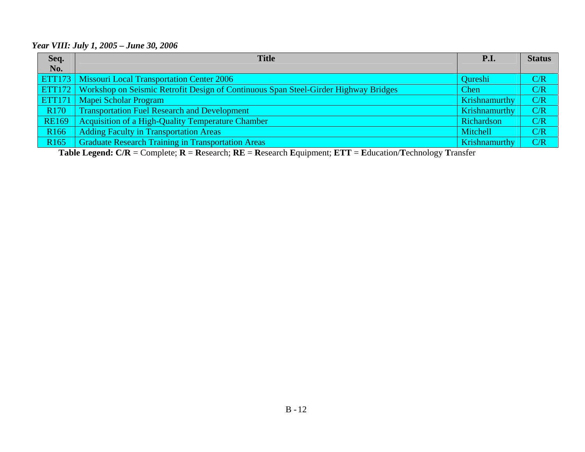#### *Year VIII: July 1, 2005 – June 30, 2006*

| Seq.             | <b>Title</b>                                                                                      | P.I.                 | <b>Status</b> |
|------------------|---------------------------------------------------------------------------------------------------|----------------------|---------------|
| No.              |                                                                                                   |                      |               |
|                  | <b>ETT173</b> Missouri Local Transportation Center 2006                                           | <b>Qureshi</b>       | C/R           |
|                  | <b>ETT172</b> Workshop on Seismic Retrofit Design of Continuous Span Steel-Girder Highway Bridges | <b>Chen</b>          | C/R           |
|                  | <b>ETT171</b> Mapei Scholar Program                                                               | <b>Krishnamurthy</b> | C/R           |
| R <sub>170</sub> | <b>Transportation Fuel Research and Development</b>                                               | Krishnamurthy        | C/R           |
| <b>RE169</b>     | <b>Acquisition of a High-Quality Temperature Chamber</b>                                          | Richardson           | C/R           |
| R <sub>166</sub> | Adding Faculty in Transportation Areas                                                            | Mitchell             | C/R           |
| R <sub>165</sub> | <b>Graduate Research Training in Transportation Areas</b>                                         | Krishnamurthy        | C/R           |

**Table Legend: C/R** = Complete; **R** <sup>=</sup>**R**esearch; **RE** = **R**esearch **E**quipment; **ETT** <sup>=</sup>**E**ducation/**T**echnology **T**ransfer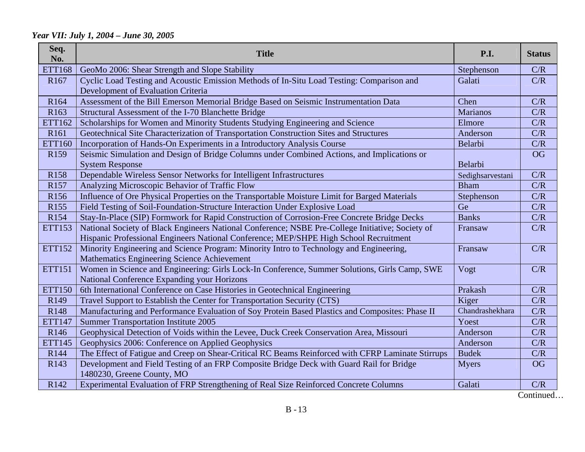### *Year VII: July 1, 2004 – June 30, 2005*

| Seq.<br>No.      | <b>Title</b>                                                                                                                                 | P.I.             | <b>Status</b> |
|------------------|----------------------------------------------------------------------------------------------------------------------------------------------|------------------|---------------|
| <b>ETT168</b>    | GeoMo 2006: Shear Strength and Slope Stability                                                                                               | Stephenson       | C/R           |
| R <sub>167</sub> | Cyclic Load Testing and Acoustic Emission Methods of In-Situ Load Testing: Comparison and<br>Development of Evaluation Criteria              | Galati           | C/R           |
| R <sub>164</sub> | Assessment of the Bill Emerson Memorial Bridge Based on Seismic Instrumentation Data                                                         | Chen             | C/R           |
| R <sub>163</sub> | Structural Assessment of the I-70 Blanchette Bridge                                                                                          | <b>Marianos</b>  | C/R           |
| ETT162           | Scholarships for Women and Minority Students Studying Engineering and Science                                                                | Elmore           | C/R           |
| R <sub>161</sub> | Geotechnical Site Characterization of Transportation Construction Sites and Structures                                                       | Anderson         | C/R           |
| <b>ETT160</b>    | Incorporation of Hands-On Experiments in a Introductory Analysis Course                                                                      | Belarbi          | C/R           |
| R <sub>159</sub> | Seismic Simulation and Design of Bridge Columns under Combined Actions, and Implications or                                                  |                  | <b>OG</b>     |
|                  | <b>System Response</b>                                                                                                                       | Belarbi          |               |
| R <sub>158</sub> | Dependable Wireless Sensor Networks for Intelligent Infrastructures                                                                          | Sedighsarvestani | C/R           |
| R157             | Analyzing Microscopic Behavior of Traffic Flow                                                                                               | <b>Bham</b>      | C/R           |
| R <sub>156</sub> | Influence of Ore Physical Properties on the Transportable Moisture Limit for Barged Materials                                                | Stephenson       | C/R           |
| R155             | Field Testing of Soil-Foundation-Structure Interaction Under Explosive Load                                                                  | Ge               | C/R           |
| R <sub>154</sub> | Stay-In-Place (SIP) Formwork for Rapid Construction of Corrosion-Free Concrete Bridge Decks                                                  | <b>Banks</b>     | C/R           |
| <b>ETT153</b>    | National Society of Black Engineers National Conference; NSBE Pre-College Initiative; Society of                                             | Fransaw          | C/R           |
|                  | Hispanic Professional Engineers National Conference; MEP/SHPE High School Recruitment                                                        |                  |               |
| <b>ETT152</b>    | Minority Engineering and Science Program: Minority Intro to Technology and Engineering,<br>Mathematics Engineering Science Achievement       | Fransaw          | C/R           |
| <b>ETT151</b>    | Women in Science and Engineering: Girls Lock-In Conference, Summer Solutions, Girls Camp, SWE<br>National Conference Expanding your Horizons | Vogt             | C/R           |
| <b>ETT150</b>    | 6th International Conference on Case Histories in Geotechnical Engineering                                                                   | Prakash          | C/R           |
| R <sub>149</sub> | Travel Support to Establish the Center for Transportation Security (CTS)                                                                     | Kiger            | C/R           |
| R <sub>148</sub> | Manufacturing and Performance Evaluation of Soy Protein Based Plastics and Composites: Phase II                                              | Chandrashekhara  | C/R           |
| <b>ETT147</b>    | <b>Summer Transportation Institute 2005</b>                                                                                                  | Yoest            | C/R           |
| R146             | Geophysical Detection of Voids within the Levee, Duck Creek Conservation Area, Missouri                                                      | Anderson         | C/R           |
| <b>ETT145</b>    | Geophysics 2006: Conference on Applied Geophysics                                                                                            | Anderson         | C/R           |
| R144             | The Effect of Fatigue and Creep on Shear-Critical RC Beams Reinforced with CFRP Laminate Stirrups                                            | <b>Budek</b>     | C/R           |
| R <sub>143</sub> | Development and Field Testing of an FRP Composite Bridge Deck with Guard Rail for Bridge<br>1480230, Greene County, MO                       | <b>Myers</b>     | <b>OG</b>     |
| R142             | Experimental Evaluation of FRP Strengthening of Real Size Reinforced Concrete Columns                                                        | Galati           | C/R           |

Continued…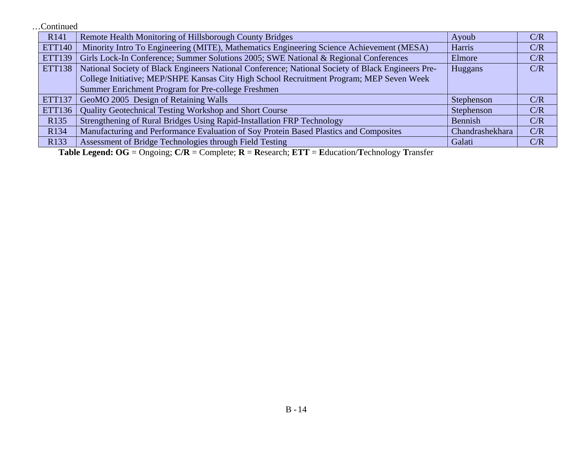…Continued

| R <sub>141</sub> | Remote Health Monitoring of Hillsborough County Bridges                                           | Ayoub           | C/R |
|------------------|---------------------------------------------------------------------------------------------------|-----------------|-----|
| <b>ETT140</b>    | Minority Intro To Engineering (MITE), Mathematics Engineering Science Achievement (MESA)          | Harris          | C/R |
| <b>ETT139</b>    | Girls Lock-In Conference; Summer Solutions 2005; SWE National & Regional Conferences              | Elmore          | C/R |
| <b>ETT138</b>    | National Society of Black Engineers National Conference; National Society of Black Engineers Pre- | Huggans         | C/R |
|                  | College Initiative; MEP/SHPE Kansas City High School Recruitment Program; MEP Seven Week          |                 |     |
|                  | Summer Enrichment Program for Pre-college Freshmen                                                |                 |     |
| <b>ETT137</b>    | GeoMO 2005 Design of Retaining Walls                                                              | Stephenson      | C/R |
| ETT136           | <b>Quality Geotechnical Testing Workshop and Short Course</b>                                     | Stephenson      | C/R |
| R <sub>135</sub> | Strengthening of Rural Bridges Using Rapid-Installation FRP Technology                            | Bennish         | C/R |
| R134             | Manufacturing and Performance Evaluation of Soy Protein Based Plastics and Composites             | Chandrashekhara | C/R |
| R <sub>133</sub> | Assessment of Bridge Technologies through Field Testing                                           | Galati          | C/R |

**Table Legend: OG** = Ongoing; **C/R** = Complete; **R** <sup>=</sup>**R**esearch; **ETT** <sup>=</sup>**E**ducation/**T**echnology **T**ransfer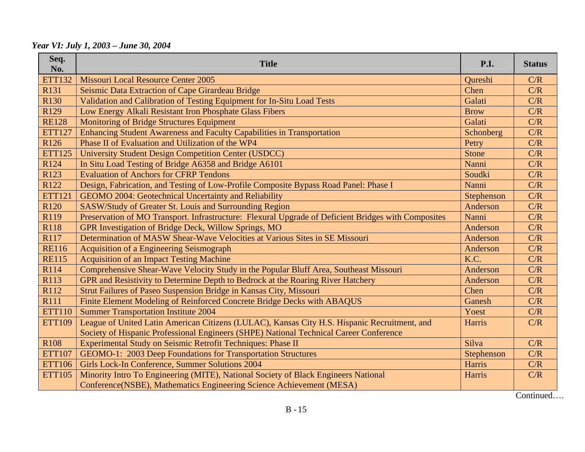*Year VI: July 1, 2003 – June 30, 2004* 

| Seq.<br>No.      | <b>Title</b>                                                                                        | <b>P.I.</b>  | <b>Status</b> |
|------------------|-----------------------------------------------------------------------------------------------------|--------------|---------------|
| <b>ETT132</b>    | Missouri Local Resource Center 2005                                                                 | Qureshi      | C/R           |
| R131             | Seismic Data Extraction of Cape Girardeau Bridge                                                    | Chen         | C/R           |
| R <sub>130</sub> | Validation and Calibration of Testing Equipment for In-Situ Load Tests                              | Galati       | C/R           |
| R <sub>129</sub> | Low Energy Alkali Resistant Iron Phosphate Glass Fibers                                             | <b>Brow</b>  | C/R           |
| <b>RE128</b>     | <b>Monitoring of Bridge Structures Equipment</b>                                                    | Galati       | C/R           |
| <b>ETT127</b>    | Enhancing Student Awareness and Faculty Capabilities in Transportation                              | Schonberg    | C/R           |
| R126             | Phase II of Evaluation and Utilization of the WP4                                                   | Petry        | C/R           |
| <b>ETT125</b>    | <b>University Student Design Competition Center (USDCC)</b>                                         | <b>Stone</b> | C/R           |
| R124             | In Situ Load Testing of Bridge A6358 and Bridge A6101                                               | Nanni        | C/R           |
| R <sub>123</sub> | <b>Evaluation of Anchors for CFRP Tendons</b>                                                       | Soudki       | C/R           |
| R <sub>122</sub> | Design, Fabrication, and Testing of Low-Profile Composite Bypass Road Panel: Phase I                | Nanni        | C/R           |
| <b>ETT121</b>    | GEOMO 2004: Geotechnical Uncertainty and Reliability                                                | Stephenson   | C/R           |
| R <sub>120</sub> | SASW/Study of Greater St. Louis and Surrounding Region                                              | Anderson     | C/R           |
| R119             | Preservation of MO Transport. Infrastructure: Flexural Upgrade of Deficient Bridges with Composites | Nanni        | C/R           |
| R118             | GPR Investigation of Bridge Deck, Willow Springs, MO                                                | Anderson     | C/R           |
| R117             | Determination of MASW Shear-Wave Velocities at Various Sites in SE Missouri                         | Anderson     | C/R           |
| <b>RE116</b>     | <b>Acquisition of a Engineering Seismograph</b>                                                     | Anderson     | C/R           |
| <b>RE115</b>     | <b>Acquisition of an Impact Testing Machine</b>                                                     | K.C.         | C/R           |
| R114             | Comprehensive Shear-Wave Velocity Study in the Popular Bluff Area, Southeast Missouri               | Anderson     | C/R           |
| R113             | GPR and Resistivity to Determine Depth to Bedrock at the Roaring River Hatchery                     | Anderson     | C/R           |
| R112             | Strut Failures of Paseo Suspension Bridge in Kansas City, Missouri                                  | Chen         | C/R           |
| R111             | Finite Element Modeling of Reinforced Concrete Bridge Decks with ABAQUS                             | Ganesh       | C/R           |
| <b>ETT110</b>    | <b>Summer Transportation Institute 2004</b>                                                         | Yoest        | C/R           |
| <b>ETT109</b>    | League of United Latin American Citizens (LULAC), Kansas City H.S. Hispanic Recruitment, and        | Harris       | C/R           |
|                  | Society of Hispanic Professional Engineers (SHPE) National Technical Career Conference              |              |               |
| R <sub>108</sub> | Experimental Study on Seismic Retrofit Techniques: Phase II                                         | Silva        | C/R           |
| <b>ETT107</b>    | GEOMO-1: 2003 Deep Foundations for Transportation Structures                                        | Stephenson   | C/R           |
| <b>ETT106</b>    | Girls Lock-In Conference, Summer Solutions 2004                                                     | Harris       | C/R           |
| <b>ETT105</b>    | Minority Intro To Engineering (MITE), National Society of Black Engineers National                  | Harris       | C/R           |
|                  | Conference(NSBE), Mathematics Engineering Science Achievement (MESA)                                |              |               |

Continued….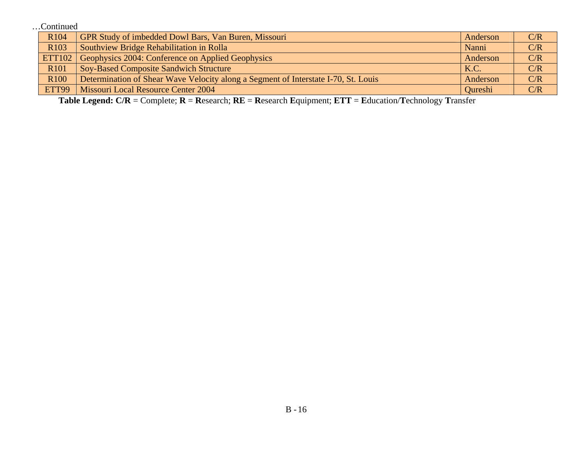…Continued

| R <sub>104</sub> | GPR Study of imbedded Dowl Bars, Van Buren, Missouri                               | Anderson       | C/R |
|------------------|------------------------------------------------------------------------------------|----------------|-----|
| R <sub>103</sub> | Southview Bridge Rehabilitation in Rolla                                           | Nanni          | C/R |
| <b>ETT102</b>    | Geophysics 2004: Conference on Applied Geophysics                                  | Anderson       | C/R |
| R <sub>101</sub> | <b>Soy-Based Composite Sandwich Structure</b>                                      | K.C.           | C/R |
| R <sub>100</sub> | Determination of Shear Wave Velocity along a Segment of Interstate I-70, St. Louis | Anderson       | C/R |
| ETT99            | <b>Missouri Local Resource Center 2004</b>                                         | <b>Oureshi</b> | C/R |

**Table Legend: C/R** = Complete; **R** <sup>=</sup>**R**esearch; **RE** = **R**esearch **E**quipment; **ETT** <sup>=</sup>**E**ducation/**T**echnology **T**ransfer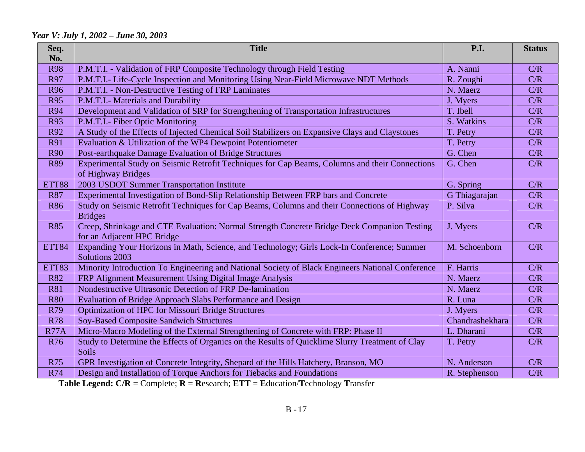#### *Year V: July 1, 2002 – June 30, 2003*

| Seq.         | <b>Title</b>                                                                                     | <b>P.I.</b>     | <b>Status</b> |
|--------------|--------------------------------------------------------------------------------------------------|-----------------|---------------|
| No.          |                                                                                                  |                 |               |
| <b>R98</b>   | P.M.T.I. - Validation of FRP Composite Technology through Field Testing                          | A. Nanni        | C/R           |
| R97          | P.M.T.I.- Life-Cycle Inspection and Monitoring Using Near-Field Microwave NDT Methods            | R. Zoughi       | C/R           |
| <b>R96</b>   | P.M.T.I. - Non-Destructive Testing of FRP Laminates                                              | N. Maerz        | C/R           |
| <b>R95</b>   | P.M.T.I.- Materials and Durability                                                               | J. Myers        | C/R           |
| <b>R94</b>   | Development and Validation of SRP for Strengthening of Transportation Infrastructures            | T. Ibell        | C/R           |
| <b>R93</b>   | P.M.T.I.- Fiber Optic Monitoring                                                                 | S. Watkins      | C/R           |
| R92          | A Study of the Effects of Injected Chemical Soil Stabilizers on Expansive Clays and Claystones   | T. Petry        | C/R           |
| <b>R91</b>   | Evaluation & Utilization of the WP4 Dewpoint Potentiometer                                       | T. Petry        | C/R           |
| <b>R90</b>   | Post-earthquake Damage Evaluation of Bridge Structures                                           | G. Chen         | C/R           |
| <b>R89</b>   | Experimental Study on Seismic Retrofit Techniques for Cap Beams, Columns and their Connections   | G. Chen         | C/R           |
|              | of Highway Bridges                                                                               |                 |               |
| ETT88        | 2003 USDOT Summer Transportation Institute                                                       | G. Spring       | C/R           |
| <b>R87</b>   | Experimental Investigation of Bond-Slip Relationship Between FRP bars and Concrete               | G Thiagarajan   | C/R           |
| <b>R86</b>   | Study on Seismic Retrofit Techniques for Cap Beams, Columns and their Connections of Highway     | P. Silva        | C/R           |
|              | <b>Bridges</b>                                                                                   |                 |               |
| <b>R85</b>   | Creep, Shrinkage and CTE Evaluation: Normal Strength Concrete Bridge Deck Companion Testing      | J. Myers        | C/R           |
|              | for an Adjacent HPC Bridge                                                                       |                 |               |
| <b>ETT84</b> | Expanding Your Horizons in Math, Science, and Technology; Girls Lock-In Conference; Summer       | M. Schoenborn   | C/R           |
|              | Solutions 2003                                                                                   |                 |               |
| ETT83        | Minority Introduction To Engineering and National Society of Black Engineers National Conference | F. Harris       | C/R           |
| <b>R82</b>   | FRP Alignment Measurement Using Digital Image Analysis                                           | N. Maerz        | C/R           |
| <b>R81</b>   | Nondestructive Ultrasonic Detection of FRP De-lamination                                         | N. Maerz        | C/R           |
| <b>R80</b>   | Evaluation of Bridge Approach Slabs Performance and Design                                       | R. Luna         | C/R           |
| R79          | <b>Optimization of HPC for Missouri Bridge Structures</b>                                        | J. Myers        | C/R           |
| <b>R78</b>   | <b>Soy-Based Composite Sandwich Structures</b>                                                   | Chandrashekhara | C/R           |
| <b>R77A</b>  | Micro-Macro Modeling of the External Strengthening of Concrete with FRP: Phase II                | L. Dharani      | C/R           |
| <b>R76</b>   | Study to Determine the Effects of Organics on the Results of Quicklime Slurry Treatment of Clay  | T. Petry        | C/R           |
|              | <b>Soils</b>                                                                                     |                 |               |
| <b>R75</b>   | GPR Investigation of Concrete Integrity, Shepard of the Hills Hatchery, Branson, MO              | N. Anderson     | C/R           |
| <b>R74</b>   | Design and Installation of Torque Anchors for Tiebacks and Foundations                           | R. Stephenson   | C/R           |

**Table Legend: C/R** = Complete; **R** <sup>=</sup>**R**esearch; **ETT** <sup>=</sup>**E**ducation/**T**echnology **T**ransfer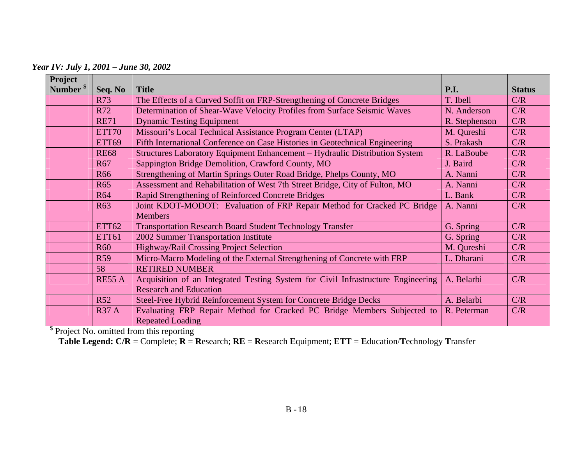*Year IV: July 1, 2001 – June 30, 2002* 

| Project              |               |                                                                                  |               |               |
|----------------------|---------------|----------------------------------------------------------------------------------|---------------|---------------|
| Number <sup>\$</sup> | Seq. No       | <b>Title</b>                                                                     | <b>P.I.</b>   | <b>Status</b> |
|                      | <b>R73</b>    | The Effects of a Curved Soffit on FRP-Strengthening of Concrete Bridges          | T. Ibell      | C/R           |
|                      | R72           | Determination of Shear-Wave Velocity Profiles from Surface Seismic Waves         | N. Anderson   | C/R           |
|                      | <b>RE71</b>   | <b>Dynamic Testing Equipment</b>                                                 | R. Stephenson | C/R           |
|                      | ETT70         | Missouri's Local Technical Assistance Program Center (LTAP)                      | M. Qureshi    | C/R           |
|                      | ETT69         | Fifth International Conference on Case Histories in Geotechnical Engineering     | S. Prakash    | C/R           |
|                      | <b>RE68</b>   | Structures Laboratory Equipment Enhancement - Hydraulic Distribution System      | R. LaBoube    | C/R           |
|                      | R67           | Sappington Bridge Demolition, Crawford County, MO                                | J. Baird      | C/R           |
|                      | <b>R66</b>    | Strengthening of Martin Springs Outer Road Bridge, Phelps County, MO             | A. Nanni      | C/R           |
|                      | <b>R65</b>    | Assessment and Rehabilitation of West 7th Street Bridge, City of Fulton, MO      | A. Nanni      | C/R           |
|                      | <b>R64</b>    | Rapid Strengthening of Reinforced Concrete Bridges                               | L. Bank       | C/R           |
|                      | R63           | Joint KDOT-MODOT: Evaluation of FRP Repair Method for Cracked PC Bridge          | A. Nanni      | C/R           |
|                      |               | <b>Members</b>                                                                   |               |               |
|                      | <b>ETT62</b>  | <b>Transportation Research Board Student Technology Transfer</b>                 | G. Spring     | C/R           |
|                      | <b>ETT61</b>  | 2002 Summer Transportation Institute                                             | G. Spring     | C/R           |
|                      | <b>R60</b>    | Highway/Rail Crossing Project Selection                                          | M. Qureshi    | C/R           |
|                      | <b>R59</b>    | Micro-Macro Modeling of the External Strengthening of Concrete with FRP          | L. Dharani    | C/R           |
|                      | 58            | <b>RETIRED NUMBER</b>                                                            |               |               |
|                      | <b>RE55 A</b> | Acquisition of an Integrated Testing System for Civil Infrastructure Engineering | A. Belarbi    | C/R           |
|                      |               | <b>Research and Education</b>                                                    |               |               |
|                      | <b>R52</b>    | Steel-Free Hybrid Reinforcement System for Concrete Bridge Decks                 | A. Belarbi    | C/R           |
|                      | <b>R37 A</b>  | Evaluating FRP Repair Method for Cracked PC Bridge Members Subjected to          | R. Peterman   | C/R           |
|                      |               | <b>Repeated Loading</b>                                                          |               |               |

<sup>\$</sup> Project No. omitted from this reporting

**Table Legend: C/R** = Complete; **R** <sup>=</sup>**R**esearch; **RE** = **R**esearch **E**quipment; **ETT** <sup>=</sup>**E**ducation/**T**echnology **T**ransfer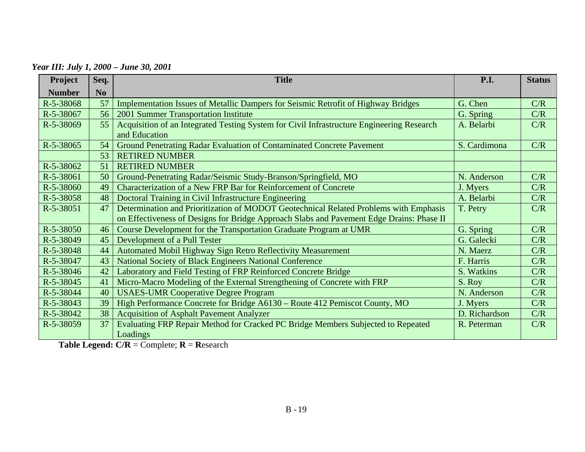*Year III: July 1, 2000 – June 30, 2001* 

| Project       | Seq.           | <b>Title</b>                                                                                               | P.I.          | <b>Status</b> |
|---------------|----------------|------------------------------------------------------------------------------------------------------------|---------------|---------------|
| <b>Number</b> | N <sub>0</sub> |                                                                                                            |               |               |
| R-5-38068     | 57             | Implementation Issues of Metallic Dampers for Seismic Retrofit of Highway Bridges                          | G. Chen       | C/R           |
| R-5-38067     | 56             | 2001 Summer Transportation Institute                                                                       | G. Spring     | C/R           |
| R-5-38069     | 55             | Acquisition of an Integrated Testing System for Civil Infrastructure Engineering Research<br>and Education | A. Belarbi    | C/R           |
| R-5-38065     | 54             | Ground Penetrating Radar Evaluation of Contaminated Concrete Pavement                                      | S. Cardimona  | C/R           |
|               | 53             | <b>RETIRED NUMBER</b>                                                                                      |               |               |
| R-5-38062     | 51             | <b>RETIRED NUMBER</b>                                                                                      |               |               |
| R-5-38061     | 50             | Ground-Penetrating Radar/Seismic Study-Branson/Springfield, MO                                             | N. Anderson   | C/R           |
| R-5-38060     | 49             | Characterization of a New FRP Bar for Reinforcement of Concrete                                            | J. Myers      | C/R           |
| R-5-38058     | 48             | Doctoral Training in Civil Infrastructure Engineering                                                      | A. Belarbi    | C/R           |
| R-5-38051     | 47             | Determination and Prioritization of MODOT Geotechnical Related Problems with Emphasis                      | T. Petry      | C/R           |
|               |                | on Effectiveness of Designs for Bridge Approach Slabs and Pavement Edge Drains: Phase II                   |               |               |
| $R-5-38050$   | 46             | Course Development for the Transportation Graduate Program at UMR                                          | G. Spring     | C/R           |
| R-5-38049     | 45             | Development of a Pull Tester                                                                               | G. Galecki    | C/R           |
| R-5-38048     | 44             | Automated Mobil Highway Sign Retro Reflectivity Measurement                                                | N. Maerz      | C/R           |
| R-5-38047     | 43             | <b>National Society of Black Engineers National Conference</b>                                             | F. Harris     | C/R           |
| R-5-38046     | 42             | Laboratory and Field Testing of FRP Reinforced Concrete Bridge                                             | S. Watkins    | C/R           |
| R-5-38045     | 41             | Micro-Macro Modeling of the External Strengthening of Concrete with FRP                                    | S. Roy        | C/R           |
| R-5-38044     | 40             | <b>USAES-UMR Cooperative Degree Program</b>                                                                | N. Anderson   | C/R           |
| R-5-38043     | 39             | High Performance Concrete for Bridge A6130 - Route 412 Pemiscot County, MO                                 | J. Myers      | C/R           |
| R-5-38042     | 38             | <b>Acquisition of Asphalt Pavement Analyzer</b>                                                            | D. Richardson | C/R           |
| R-5-38059     | 37             | Evaluating FRP Repair Method for Cracked PC Bridge Members Subjected to Repeated<br>Loadings               | R. Peterman   | C/R           |

**Table Legend: C/R** = Complete; **R** <sup>=</sup>**R**esearch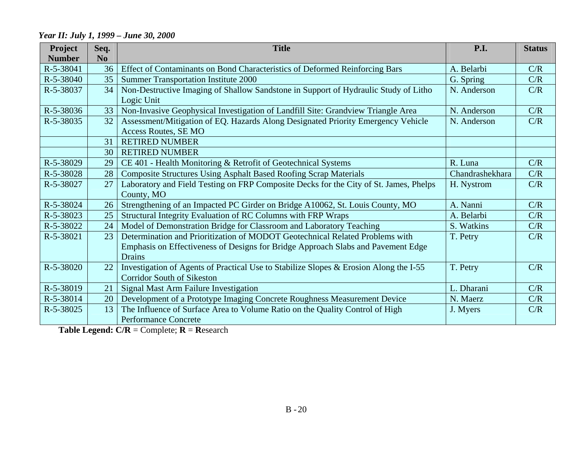#### **Project Seq. Title P.I. Status Number** N<sub>o</sub> R-5-38041 36 Effect of Contaminants on Bond Characteristics of Deformed Reinforcing Bars A. Belarbi C/R R-5-38040 35 Summer Transportation Institute 2000 R-5-38037 34 Non-Destructive Imaging of Shallow Sandstone in Support of Hydraulic Study of Litho Logic Unit N. Anderson C/R R-5-38036 33 Non-Invasive Geophysical Investigation of Landfill Site: Grandview Triangle Area N. Anderson C/R R-5-38035 32 Assessment/Mitigation of EQ. Hazards Along Designated Priority Emergency Vehicle Access Routes, SE MO N. Anderson C/R 31 RETIRED NUMBER 30 RETIRED NUMBER R-5-38029 29 CE 401 - Health Monitoring & Retrofit of Geotechnical Systems R. Luna R. Luna C/R R-5-38028 28 Composite Structures Using Asphalt Based Roofing Scrap Materials Chandrashekhara C/R R-5-38027 27 Laboratory and Field Testing on FRP Composite Decks for the City of St. James, Phelps County, MO H. Nystrom C/R R-5-38024 26 Strengthening of an Impacted PC Girder on Bridge A10062, St. Louis County, MO A. Nanni C/R R-5-38023 25 Structural Integrity Evaluation of RC Columns with FRP Wraps A. Belarbi C/R R-5-38022 24 Model of Demonstration Bridge for Classroom and Laboratory Teaching S. Watkins C/R R-5-38021 23 Determination and Prioritization of MODOT Geotechnical Related Problems with Emphasis on Effectiveness of Designs for Bridge Approach Slabs and Pavement Edge Drains T. Petry C/R R-5-38020 22 Investigation of Agents of Practical Use to Stabilize Slopes & Erosion Along the I-55 Corridor South of Sikeston T. Petry C/R R-5-38019 21 Signal Mast Arm Failure Investigation L. Dharani C/R R-5-38014 20 Development of a Prototype Imaging Concrete Roughness Measurement Device N. Maerz N. Maerz C/R R-5-38025 13 The Influence of Surface Area to Volume Ratio on the Quality Control of High Performance Concrete J. Myers C/R

#### *Year II: July 1, 1999 – June 30, 2000*

**Table Legend: C/R** = Complete; **R** <sup>=</sup>**R**esearch